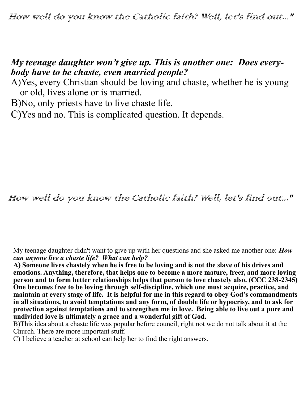## *My teenage daughter won't give up. This is another one: Does everybody have to be chaste, even married people?*

A)Yes, every Christian should be loving and chaste, whether he is young or old, lives alone or is married.

B)No, only priests have to live chaste life.

C)Yes and no. This is complicated question. It depends.

How well do you know the Catholic faith? Well, let's find out..."

My teenage daughter didn't want to give up with her questions and she asked me another one: *How can anyone live a chaste life? What can help?*

**A) Someone lives chastely when he is free to be loving and is not the slave of his drives and emotions. Anything, therefore, that helps one to become a more mature, freer, and more loving person and to form better relationships helps that person to love chastely also. (CCC 238-2345) One becomes free to be loving through self-discipline, which one must acquire, practice, and maintain at every stage of life. It is helpful for me in this regard to obey God's commandments in all situations, to avoid temptations and any form, of double life or hypocrisy, and to ask for protection against temptations and to strengthen me in love. Being able to live out a pure and undivided love is ultimately a grace and a wonderful gift of God.** 

B)This idea about a chaste life was popular before council, right not we do not talk about it at the Church. There are more important stuff.

C) I believe a teacher at school can help her to find the right answers.